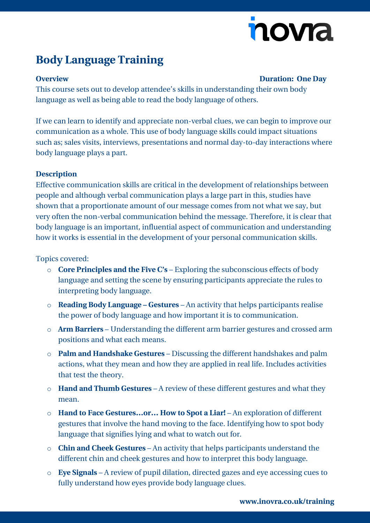# novia

## **Body Language Training**

### **Overview Duration: One Day**

This course sets out to develop attendee's skills in understanding their own body language as well as being able to read the body language of others.

If we can learn to identify and appreciate non-verbal clues, we can begin to improve our communication as a whole. This use of body language skills could impact situations such as; sales visits, interviews, presentations and normal day-to-day interactions where body language plays a part.

#### **Description**

Effective communication skills are critical in the development of relationships between people and although verbal communication plays a large part in this, studies have shown that a proportionate amount of our message comes from not what we say, but very often the non-verbal communication behind the message. Therefore, it is clear that body language is an important, influential aspect of communication and understanding how it works is essential in the development of your personal communication skills.

Topics covered:

- o **Core Principles and the Five C's** Exploring the subconscious effects of body language and setting the scene by ensuring participants appreciate the rules to interpreting body language.
- o **Reading Body Language – Gestures** An activity that helps participants realise the power of body language and how important it is to communication.
- o **Arm Barriers** Understanding the different arm barrier gestures and crossed arm positions and what each means.
- o **Palm and Handshake Gestures** Discussing the different handshakes and palm actions, what they mean and how they are applied in real life. Includes activities that test the theory.
- o **Hand and Thumb Gestures** A review of these different gestures and what they mean.
- o **Hand to Face Gestures…or… How to Spot a Liar!** An exploration of different gestures that involve the hand moving to the face. Identifying how to spot body language that signifies lying and what to watch out for.
- o **Chin and Cheek Gestures** An activity that helps participants understand the different chin and cheek gestures and how to interpret this body language.
- o **Eye Signals** A review of pupil dilation, directed gazes and eye accessing cues to fully understand how eyes provide body language clues.